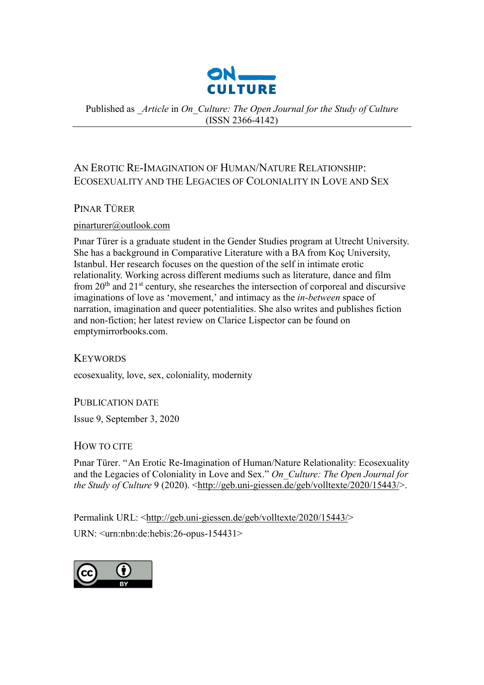

Published as *\_Article* in *On\_Culture: The Open Journal for the Study of Culture*  (ISSN 2366-4142)

## AN EROTIC RE-IMAGINATION OF HUMAN/NATURE RELATIONSHIP: ECOSEXUALITY AND THE LEGACIES OF COLONIALITY IN LOVE AND SEX

PINAR TÜRER

### [pinarturer@outlook.com](mailto:pinarturer@outlook.com)

Pınar Türer is a graduate student in the Gender Studies program at Utrecht University. She has a background in Comparative Literature with a BA from Koç University, Istanbul. Her research focuses on the question of the self in intimate erotic relationality. Working across different mediums such as literature, dance and film from  $20<sup>th</sup>$  and  $21<sup>st</sup>$  century, she researches the intersection of corporeal and discursive imaginations of love as 'movement,' and intimacy as the *in-between* space of narration, imagination and queer potentialities. She also writes and publishes fiction and non-fiction; her latest review on Clarice Lispector can be found on emptymirrorbooks.com.

### **KEYWORDS**

ecosexuality, love, sex, coloniality, modernity

### PUBLICATION DATE

Issue 9, September 3, 2020

### HOW TO CITE

Pınar Türer. "An Erotic Re-Imagination of Human/Nature Relationality: Ecosexuality and the Legacies of Coloniality in Love and Sex." *On\_Culture: The Open Journal for the Study of Culture* 9 (2020). [<http://geb.uni-giessen.de/geb/volltexte/2020/15443/>](http://geb.uni-giessen.de/geb/volltexte/2020/15443/).

Permalink URL: [<http://geb.uni-giessen.de/geb/volltexte/2020/15443/>](http://geb.uni-giessen.de/geb/volltexte/2020/15443/) URN: <urn:nbn:de:hebis:26-opus-154431>

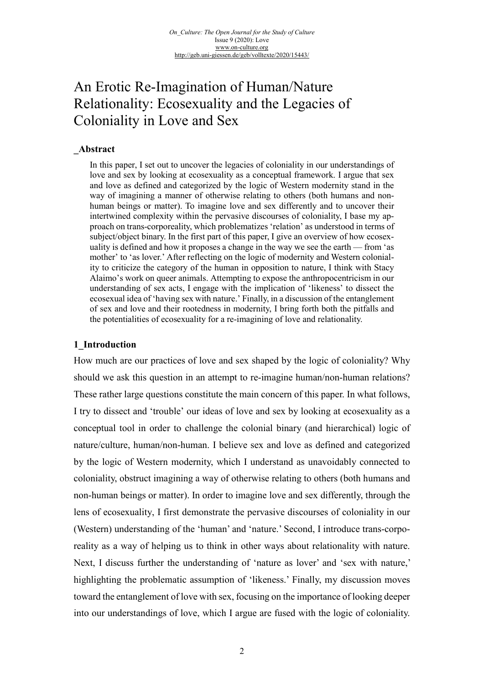# An Erotic Re-Imagination of Human/Nature Relationality: Ecosexuality and the Legacies of Coloniality in Love and Sex

### **\_Abstract**

In this paper, I set out to uncover the legacies of coloniality in our understandings of love and sex by looking at ecosexuality as a conceptual framework. I argue that sex and love as defined and categorized by the logic of Western modernity stand in the way of imagining a manner of otherwise relating to others (both humans and nonhuman beings or matter). To imagine love and sex differently and to uncover their intertwined complexity within the pervasive discourses of coloniality, I base my approach on trans-corporeality, which problematizes 'relation' as understood in terms of subject/object binary. In the first part of this paper, I give an overview of how ecosexuality is defined and how it proposes a change in the way we see the earth — from 'as mother' to 'as lover.' After reflecting on the logic of modernity and Western coloniality to criticize the category of the human in opposition to nature, I think with Stacy Alaimo's work on queer animals. Attempting to expose the anthropocentricism in our understanding of sex acts, I engage with the implication of 'likeness' to dissect the ecosexual idea of 'having sex with nature.' Finally, in a discussion of the entanglement of sex and love and their rootedness in modernity, I bring forth both the pitfalls and the potentialities of ecosexuality for a re-imagining of love and relationality.

### **1\_Introduction**

How much are our practices of love and sex shaped by the logic of coloniality? Why should we ask this question in an attempt to re-imagine human/non-human relations? These rather large questions constitute the main concern of this paper. In what follows, I try to dissect and 'trouble' our ideas of love and sex by looking at ecosexuality as a conceptual tool in order to challenge the colonial binary (and hierarchical) logic of nature/culture, human/non-human. I believe sex and love as defined and categorized by the logic of Western modernity, which I understand as unavoidably connected to coloniality, obstruct imagining a way of otherwise relating to others (both humans and non-human beings or matter). In order to imagine love and sex differently, through the lens of ecosexuality, I first demonstrate the pervasive discourses of coloniality in our (Western) understanding of the 'human' and 'nature.' Second, I introduce trans-corporeality as a way of helping us to think in other ways about relationality with nature. Next, I discuss further the understanding of 'nature as lover' and 'sex with nature,' highlighting the problematic assumption of 'likeness.' Finally, my discussion moves toward the entanglement of love with sex, focusing on the importance of looking deeper into our understandings of love, which I argue are fused with the logic of coloniality.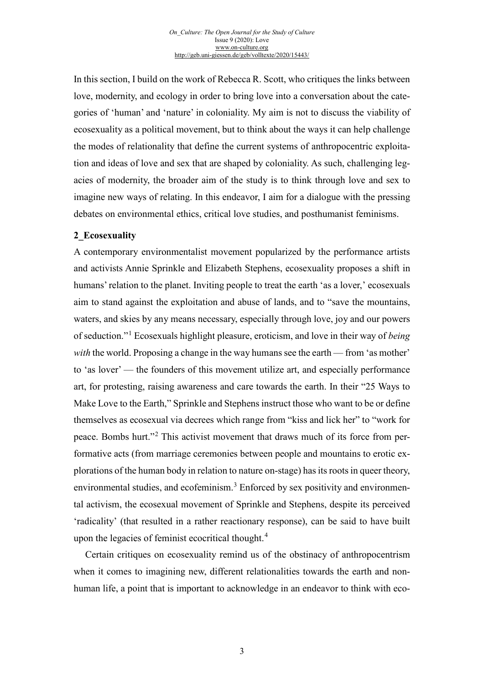In this section, I build on the work of Rebecca R. Scott, who critiques the links between love, modernity, and ecology in order to bring love into a conversation about the categories of 'human' and 'nature' in coloniality. My aim is not to discuss the viability of ecosexuality as a political movement, but to think about the ways it can help challenge the modes of relationality that define the current systems of anthropocentric exploitation and ideas of love and sex that are shaped by coloniality. As such, challenging legacies of modernity, the broader aim of the study is to think through love and sex to imagine new ways of relating. In this endeavor, I aim for a dialogue with the pressing debates on environmental ethics, critical love studies, and posthumanist feminisms.

### **2\_Ecosexuality**

A contemporary environmentalist movement popularized by the performance artists and activists Annie Sprinkle and Elizabeth Stephens, ecosexuality proposes a shift in humans' relation to the planet. Inviting people to treat the earth 'as a lover,' ecosexuals aim to stand against the exploitation and abuse of lands, and to "save the mountains, waters, and skies by any means necessary, especially through love, joy and our powers of seduction."[1](#page-18-0) Ecosexuals highlight pleasure, eroticism, and love in their way of *being with* the world. Proposing a change in the way humans see the earth — from 'as mother' to 'as lover' — the founders of this movement utilize art, and especially performance art, for protesting, raising awareness and care towards the earth. In their "25 Ways to Make Love to the Earth," Sprinkle and Stephens instruct those who want to be or define themselves as ecosexual via decrees which range from "kiss and lick her" to "work for peace. Bombs hurt."[2](#page-18-1) This activist movement that draws much of its force from performative acts (from marriage ceremonies between people and mountains to erotic explorations of the human body in relation to nature on-stage) has its roots in queer theory, environmental studies, and ecofeminism.<sup>[3](#page-18-2)</sup> Enforced by sex positivity and environmental activism, the ecosexual movement of Sprinkle and Stephens, despite its perceived 'radicality' (that resulted in a rather reactionary response), can be said to have built upon the legacies of feminist ecocritical thought.<sup>[4](#page-18-3)</sup>

Certain critiques on ecosexuality remind us of the obstinacy of anthropocentrism when it comes to imagining new, different relationalities towards the earth and nonhuman life, a point that is important to acknowledge in an endeavor to think with eco-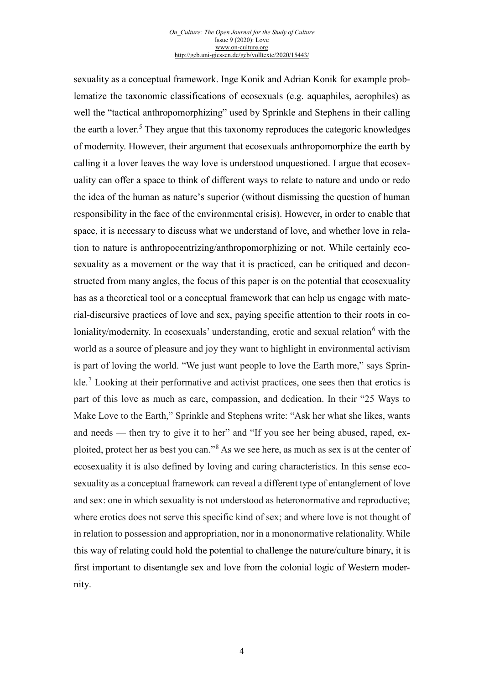#### *On\_Culture: The Open Journal for the Study of Culture*  $I$  Issue 9 (2020): Love [www.on-culture.org](http://www.on-culture.org/) <http://geb.uni-giessen.de/geb/volltexte/2020/15443/>

sexuality as a conceptual framework. Inge Konik and Adrian Konik for example problematize the taxonomic classifications of ecosexuals (e.g. aquaphiles, aerophiles) as well the "tactical anthropomorphizing" used by Sprinkle and Stephens in their calling the earth a lover.<sup>[5](#page-19-0)</sup> They argue that this taxonomy reproduces the categoric knowledges of modernity. However, their argument that ecosexuals anthropomorphize the earth by calling it a lover leaves the way love is understood unquestioned. I argue that ecosexuality can offer a space to think of different ways to relate to nature and undo or redo the idea of the human as nature's superior (without dismissing the question of human responsibility in the face of the environmental crisis). However, in order to enable that space, it is necessary to discuss what we understand of love, and whether love in relation to nature is anthropocentrizing/anthropomorphizing or not. While certainly ecosexuality as a movement or the way that it is practiced, can be critiqued and deconstructed from many angles, the focus of this paper is on the potential that ecosexuality has as a theoretical tool or a conceptual framework that can help us engage with material-discursive practices of love and sex, paying specific attention to their roots in coloniality/modernity. In ecosexuals' understanding, erotic and sexual relation $<sup>6</sup>$  $<sup>6</sup>$  $<sup>6</sup>$  with the</sup> world as a source of pleasure and joy they want to highlight in environmental activism is part of loving the world. "We just want people to love the Earth more," says Sprin-kle.<sup>[7](#page-19-2)</sup> Looking at their performative and activist practices, one sees then that erotics is part of this love as much as care, compassion, and dedication. In their "25 Ways to Make Love to the Earth," Sprinkle and Stephens write: "Ask her what she likes, wants and needs — then try to give it to her" and "If you see her being abused, raped, exploited, protect her as best you can."[8](#page-19-3) As we see here, as much as sex is at the center of ecosexuality it is also defined by loving and caring characteristics. In this sense ecosexuality as a conceptual framework can reveal a different type of entanglement of love and sex: one in which sexuality is not understood as heteronormative and reproductive; where erotics does not serve this specific kind of sex; and where love is not thought of in relation to possession and appropriation, nor in a mononormative relationality. While this way of relating could hold the potential to challenge the nature/culture binary, it is first important to disentangle sex and love from the colonial logic of Western modernity.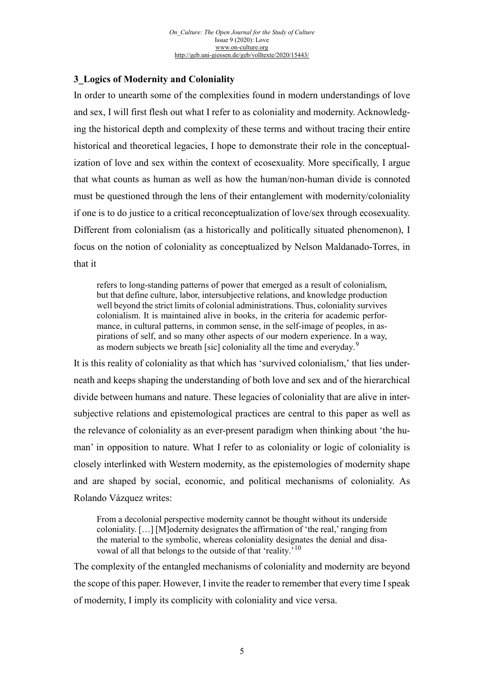### **3\_Logics of Modernity and Coloniality**

In order to unearth some of the complexities found in modern understandings of love and sex, I will first flesh out what I refer to as coloniality and modernity. Acknowledging the historical depth and complexity of these terms and without tracing their entire historical and theoretical legacies, I hope to demonstrate their role in the conceptualization of love and sex within the context of ecosexuality. More specifically, I argue that what counts as human as well as how the human/non-human divide is connoted must be questioned through the lens of their entanglement with modernity/coloniality if one is to do justice to a critical reconceptualization of love/sex through ecosexuality. Different from colonialism (as a historically and politically situated phenomenon), I focus on the notion of coloniality as conceptualized by Nelson Maldanado-Torres, in that it

refers to long-standing patterns of power that emerged as a result of colonialism, but that define culture, labor, intersubjective relations, and knowledge production well beyond the strict limits of colonial administrations. Thus, coloniality survives colonialism. It is maintained alive in books, in the criteria for academic performance, in cultural patterns, in common sense, in the self-image of peoples, in aspirations of self, and so many other aspects of our modern experience. In a way, as modern subjects we breath [sic] coloniality all the time and everyday.<sup>[9](#page-19-4)</sup>

It is this reality of coloniality as that which has 'survived colonialism,' that lies underneath and keeps shaping the understanding of both love and sex and of the hierarchical divide between humans and nature. These legacies of coloniality that are alive in intersubjective relations and epistemological practices are central to this paper as well as the relevance of coloniality as an ever-present paradigm when thinking about 'the human' in opposition to nature. What I refer to as coloniality or logic of coloniality is closely interlinked with Western modernity, as the epistemologies of modernity shape and are shaped by social, economic, and political mechanisms of coloniality. As Rolando Vázquez writes:

From a decolonial perspective modernity cannot be thought without its underside coloniality. […] [M]odernity designates the affirmation of 'the real,' ranging from the material to the symbolic, whereas coloniality designates the denial and disa-vowal of all that belongs to the outside of that 'reality.'<sup>[10](#page-19-5)</sup>

The complexity of the entangled mechanisms of coloniality and modernity are beyond the scope of this paper. However, I invite the reader to remember that every time I speak of modernity, I imply its complicity with coloniality and vice versa.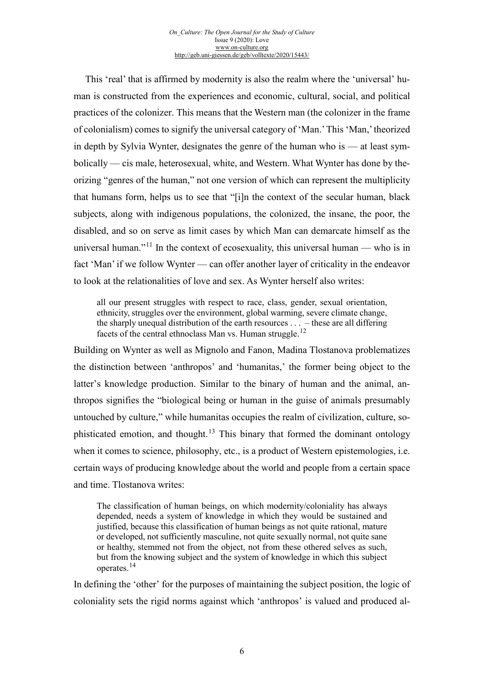This 'real' that is affirmed by modernity is also the realm where the 'universal' human is constructed from the experiences and economic, cultural, social, and political practices of the colonizer. This means that the Western man (the colonizer in the frame of colonialism) comes to signify the universal category of 'Man.' This 'Man,' theorized in depth by Sylvia Wynter, designates the genre of the human who is — at least symbolically — cis male, heterosexual, white, and Western. What Wynter has done by theorizing "genres of the human," not one version of which can represent the multiplicity that humans form, helps us to see that "[i]n the context of the secular human, black subjects, along with indigenous populations, the colonized, the insane, the poor, the disabled, and so on serve as limit cases by which Man can demarcate himself as the universal human."[11](#page-19-6) In the context of ecosexuality, this universal human — who is in fact 'Man' if we follow Wynter — can offer another layer of criticality in the endeavor to look at the relationalities of love and sex. As Wynter herself also writes:

all our present struggles with respect to race, class, gender, sexual orientation, ethnicity, struggles over the environment, global warming, severe climate change, the sharply unequal distribution of the earth resources  $\dots$  – these are all differing facets of the central ethnoclass Man vs. Human struggle.<sup>[12](#page-19-7)</sup>

Building on Wynter as well as Mignolo and Fanon, Madina Tlostanova problematizes the distinction between 'anthropos' and 'humanitas,' the former being object to the latter's knowledge production. Similar to the binary of human and the animal, anthropos signifies the "biological being or human in the guise of animals presumably untouched by culture," while humanitas occupies the realm of civilization, culture, so-phisticated emotion, and thought.<sup>[13](#page-19-8)</sup> This binary that formed the dominant ontology when it comes to science, philosophy, etc., is a product of Western epistemologies, i.e. certain ways of producing knowledge about the world and people from a certain space and time. Tlostanova writes:

The classification of human beings, on which modernity/coloniality has always depended, needs a system of knowledge in which they would be sustained and justified, because this classification of human beings as not quite rational, mature or developed, not sufficiently masculine, not quite sexually normal, not quite sane or healthy, stemmed not from the object, not from these othered selves as such, but from the knowing subject and the system of knowledge in which this subject operates.[14](#page-19-9)

In defining the 'other' for the purposes of maintaining the subject position, the logic of coloniality sets the rigid norms against which 'anthropos' is valued and produced al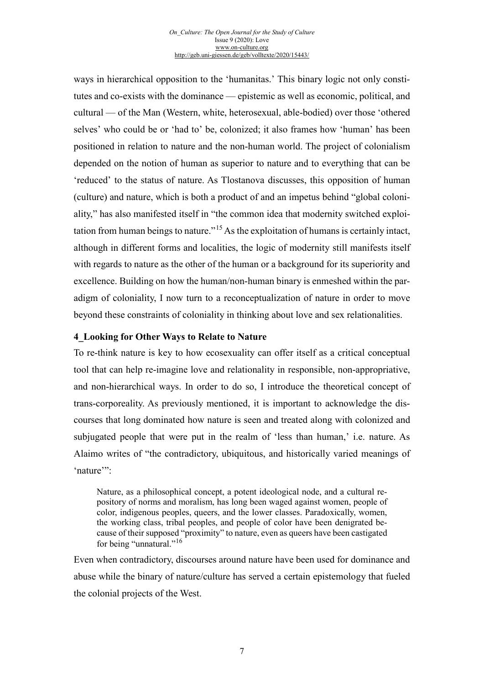ways in hierarchical opposition to the 'humanitas.' This binary logic not only constitutes and co-exists with the dominance — epistemic as well as economic, political, and cultural — of the Man (Western, white, heterosexual, able-bodied) over those 'othered selves' who could be or 'had to' be, colonized; it also frames how 'human' has been positioned in relation to nature and the non-human world. The project of colonialism depended on the notion of human as superior to nature and to everything that can be 'reduced' to the status of nature. As Tlostanova discusses, this opposition of human (culture) and nature, which is both a product of and an impetus behind "global coloniality," has also manifested itself in "the common idea that modernity switched exploi-tation from human beings to nature."<sup>[15](#page-19-10)</sup> As the exploitation of humans is certainly intact, although in different forms and localities, the logic of modernity still manifests itself with regards to nature as the other of the human or a background for its superiority and excellence. Building on how the human/non-human binary is enmeshed within the paradigm of coloniality, I now turn to a reconceptualization of nature in order to move beyond these constraints of coloniality in thinking about love and sex relationalities.

### **4\_Looking for Other Ways to Relate to Nature**

To re-think nature is key to how ecosexuality can offer itself as a critical conceptual tool that can help re-imagine love and relationality in responsible, non-appropriative, and non-hierarchical ways. In order to do so, I introduce the theoretical concept of trans-corporeality. As previously mentioned, it is important to acknowledge the discourses that long dominated how nature is seen and treated along with colonized and subjugated people that were put in the realm of 'less than human,' i.e. nature. As Alaimo writes of "the contradictory, ubiquitous, and historically varied meanings of 'nature'":

Nature, as a philosophical concept, a potent ideological node, and a cultural repository of norms and moralism, has long been waged against women, people of color, indigenous peoples, queers, and the lower classes. Paradoxically, women, the working class, tribal peoples, and people of color have been denigrated because of their supposed "proximity" to nature, even as queers have been castigated for being "unnatural."<sup>[16](#page-19-11)</sup>

Even when contradictory, discourses around nature have been used for dominance and abuse while the binary of nature/culture has served a certain epistemology that fueled the colonial projects of the West.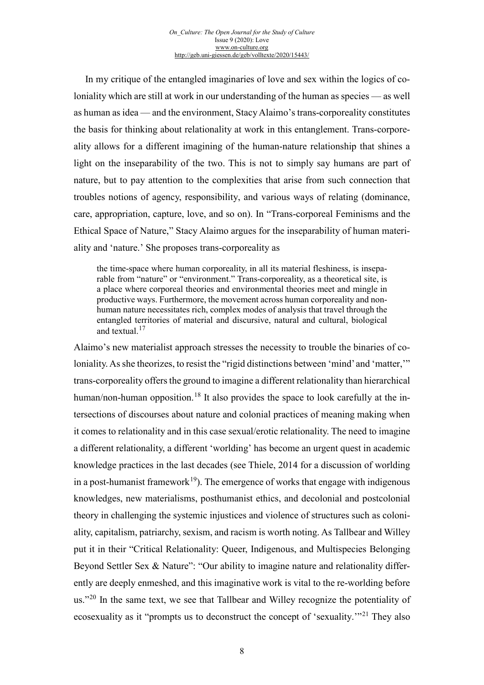In my critique of the entangled imaginaries of love and sex within the logics of coloniality which are still at work in our understanding of the human as species — as well as human as idea — and the environment, Stacy Alaimo's trans-corporeality constitutes the basis for thinking about relationality at work in this entanglement. Trans-corporeality allows for a different imagining of the human-nature relationship that shines a light on the inseparability of the two. This is not to simply say humans are part of nature, but to pay attention to the complexities that arise from such connection that troubles notions of agency, responsibility, and various ways of relating (dominance, care, appropriation, capture, love, and so on). In "Trans-corporeal Feminisms and the Ethical Space of Nature," Stacy Alaimo argues for the inseparability of human materiality and 'nature.' She proposes trans-corporeality as

the time-space where human corporeality, in all its material fleshiness, is inseparable from "nature" or "environment." Trans-corporeality, as a theoretical site, is a place where corporeal theories and environmental theories meet and mingle in productive ways. Furthermore, the movement across human corporeality and nonhuman nature necessitates rich, complex modes of analysis that travel through the entangled territories of material and discursive, natural and cultural, biological and textual.<sup>[17](#page-19-12)</sup>

Alaimo's new materialist approach stresses the necessity to trouble the binaries of coloniality. As she theorizes, to resist the "rigid distinctions between 'mind' and 'matter," trans-corporeality offers the ground to imagine a different relationality than hierarchical human/non-human opposition.<sup>[18](#page-19-13)</sup> It also provides the space to look carefully at the intersections of discourses about nature and colonial practices of meaning making when it comes to relationality and in this case sexual/erotic relationality. The need to imagine a different relationality, a different 'worlding' has become an urgent quest in academic knowledge practices in the last decades (see Thiele, 2014 for a discussion of worlding in a post-humanist framework<sup>[19](#page-19-14)</sup>). The emergence of works that engage with indigenous knowledges, new materialisms, posthumanist ethics, and decolonial and postcolonial theory in challenging the systemic injustices and violence of structures such as coloniality, capitalism, patriarchy, sexism, and racism is worth noting. As Tallbear and Willey put it in their "Critical Relationality: Queer, Indigenous, and Multispecies Belonging Beyond Settler Sex & Nature": "Our ability to imagine nature and relationality differently are deeply enmeshed, and this imaginative work is vital to the re-worlding before us."<sup>[20](#page-19-15)</sup> In the same text, we see that Tallbear and Willey recognize the potentiality of ecosexuality as it "prompts us to deconstruct the concept of 'sexuality.'"[21](#page-19-16) They also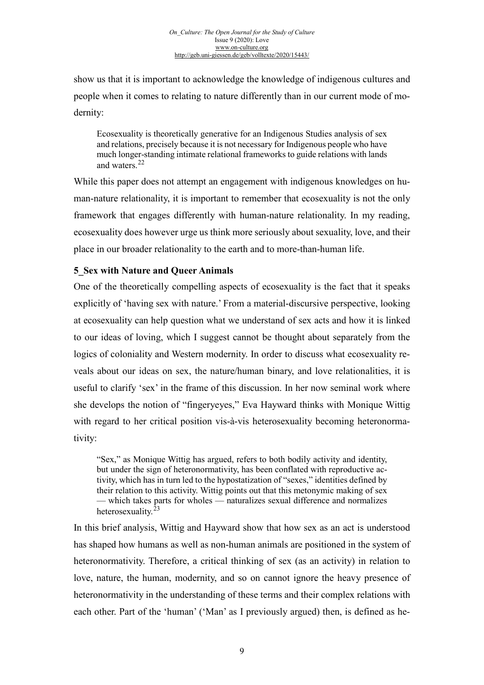show us that it is important to acknowledge the knowledge of indigenous cultures and people when it comes to relating to nature differently than in our current mode of modernity:

Ecosexuality is theoretically generative for an Indigenous Studies analysis of sex and relations, precisely because it is not necessary for Indigenous people who have much longer-standing intimate relational frameworks to guide relations with lands and waters $22$ 

While this paper does not attempt an engagement with indigenous knowledges on human-nature relationality, it is important to remember that ecosexuality is not the only framework that engages differently with human-nature relationality. In my reading, ecosexuality does however urge us think more seriously about sexuality, love, and their place in our broader relationality to the earth and to more-than-human life.

### **5\_Sex with Nature and Queer Animals**

One of the theoretically compelling aspects of ecosexuality is the fact that it speaks explicitly of 'having sex with nature.' From a material-discursive perspective, looking at ecosexuality can help question what we understand of sex acts and how it is linked to our ideas of loving, which I suggest cannot be thought about separately from the logics of coloniality and Western modernity. In order to discuss what ecosexuality reveals about our ideas on sex, the nature/human binary, and love relationalities, it is useful to clarify 'sex' in the frame of this discussion. In her now seminal work where she develops the notion of "fingeryeyes," Eva Hayward thinks with Monique Wittig with regard to her critical position vis-à-vis heterosexuality becoming heteronormativity:

"Sex," as Monique Wittig has argued, refers to both bodily activity and identity, but under the sign of heteronormativity, has been conflated with reproductive activity, which has in turn led to the hypostatization of "sexes," identities defined by their relation to this activity. Wittig points out that this metonymic making of sex — which takes parts for wholes — naturalizes sexual difference and normalizes heterosexuality. $23$ 

In this brief analysis, Wittig and Hayward show that how sex as an act is understood has shaped how humans as well as non-human animals are positioned in the system of heteronormativity. Therefore, a critical thinking of sex (as an activity) in relation to love, nature, the human, modernity, and so on cannot ignore the heavy presence of heteronormativity in the understanding of these terms and their complex relations with each other. Part of the 'human' ('Man' as I previously argued) then, is defined as he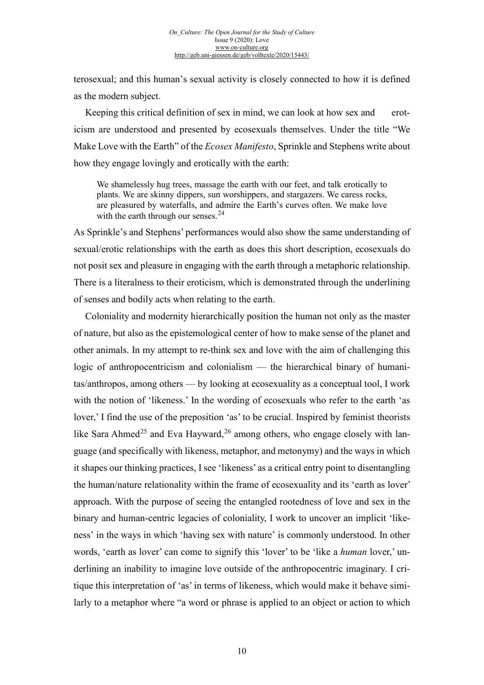terosexual; and this human's sexual activity is closely connected to how it is defined as the modern subject.

Keeping this critical definition of sex in mind, we can look at how sex and eroticism are understood and presented by ecosexuals themselves. Under the title "We Make Love with the Earth" of the *Ecosex Manifesto*, Sprinkle and Stephens write about how they engage lovingly and erotically with the earth:

We shamelessly hug trees, massage the earth with our feet, and talk erotically to plants. We are skinny dippers, sun worshippers, and stargazers. We caress rocks, are pleasured by waterfalls, and admire the Earth's curves often. We make love with the earth through our senses.<sup>[24](#page-19-19)</sup>

As Sprinkle's and Stephens' performances would also show the same understanding of sexual/erotic relationships with the earth as does this short description, ecosexuals do not posit sex and pleasure in engaging with the earth through a metaphoric relationship. There is a literalness to their eroticism, which is demonstrated through the underlining of senses and bodily acts when relating to the earth.

Coloniality and modernity hierarchically position the human not only as the master of nature, but also as the epistemological center of how to make sense of the planet and other animals. In my attempt to re-think sex and love with the aim of challenging this logic of anthropocentricism and colonialism — the hierarchical binary of humanitas/anthropos, among others — by looking at ecosexuality as a conceptual tool, I work with the notion of 'likeness.' In the wording of ecosexuals who refer to the earth 'as lover,' I find the use of the preposition 'as' to be crucial. Inspired by feminist theorists like Sara Ahmed<sup>[25](#page-19-20)</sup> and Eva Hayward,<sup>[26](#page-19-21)</sup> among others, who engage closely with language (and specifically with likeness, metaphor, and metonymy) and the ways in which it shapes our thinking practices, I see 'likeness' as a critical entry point to disentangling the human/nature relationality within the frame of ecosexuality and its 'earth as lover' approach. With the purpose of seeing the entangled rootedness of love and sex in the binary and human-centric legacies of coloniality, I work to uncover an implicit 'likeness' in the ways in which 'having sex with nature' is commonly understood. In other words, 'earth as lover' can come to signify this 'lover' to be 'like a *human* lover,' underlining an inability to imagine love outside of the anthropocentric imaginary. I critique this interpretation of 'as' in terms of likeness, which would make it behave similarly to a metaphor where "a word or phrase is applied to an object or action to which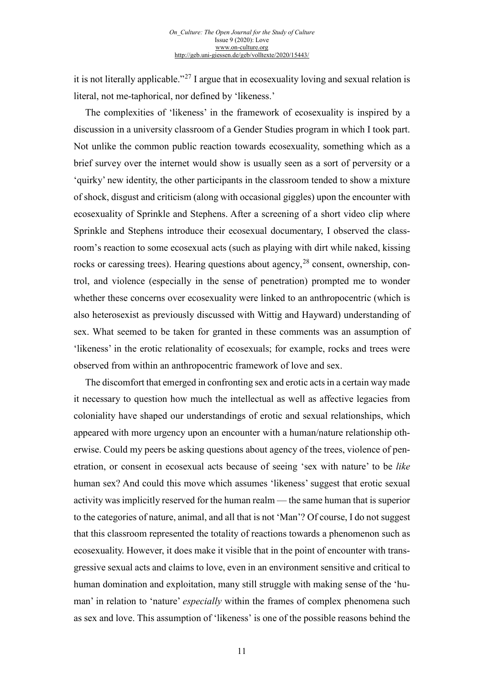it is not literally applicable."<sup>[27](#page-19-22)</sup> I argue that in ecosexuality loving and sexual relation is literal, not me-taphorical, nor defined by 'likeness.'

The complexities of 'likeness' in the framework of ecosexuality is inspired by a discussion in a university classroom of a Gender Studies program in which I took part. Not unlike the common public reaction towards ecosexuality, something which as a brief survey over the internet would show is usually seen as a sort of perversity or a 'quirky' new identity, the other participants in the classroom tended to show a mixture of shock, disgust and criticism (along with occasional giggles) upon the encounter with ecosexuality of Sprinkle and Stephens. After a screening of a short video clip where Sprinkle and Stephens introduce their ecosexual documentary, I observed the classroom's reaction to some ecosexual acts (such as playing with dirt while naked, kissing rocks or caressing trees). Hearing questions about agency,<sup>[28](#page-19-1)</sup> consent, ownership, control, and violence (especially in the sense of penetration) prompted me to wonder whether these concerns over ecosexuality were linked to an anthropocentric (which is also heterosexist as previously discussed with Wittig and Hayward) understanding of sex. What seemed to be taken for granted in these comments was an assumption of 'likeness' in the erotic relationality of ecosexuals; for example, rocks and trees were observed from within an anthropocentric framework of love and sex.

The discomfort that emerged in confronting sex and erotic acts in a certain way made it necessary to question how much the intellectual as well as affective legacies from coloniality have shaped our understandings of erotic and sexual relationships, which appeared with more urgency upon an encounter with a human/nature relationship otherwise. Could my peers be asking questions about agency of the trees, violence of penetration, or consent in ecosexual acts because of seeing 'sex with nature' to be *like* human sex? And could this move which assumes 'likeness' suggest that erotic sexual activity was implicitly reserved for the human realm — the same human that is superior to the categories of nature, animal, and all that is not 'Man'? Of course, I do not suggest that this classroom represented the totality of reactions towards a phenomenon such as ecosexuality. However, it does make it visible that in the point of encounter with transgressive sexual acts and claims to love, even in an environment sensitive and critical to human domination and exploitation, many still struggle with making sense of the 'human' in relation to 'nature' *especially* within the frames of complex phenomena such as sex and love. This assumption of 'likeness' is one of the possible reasons behind the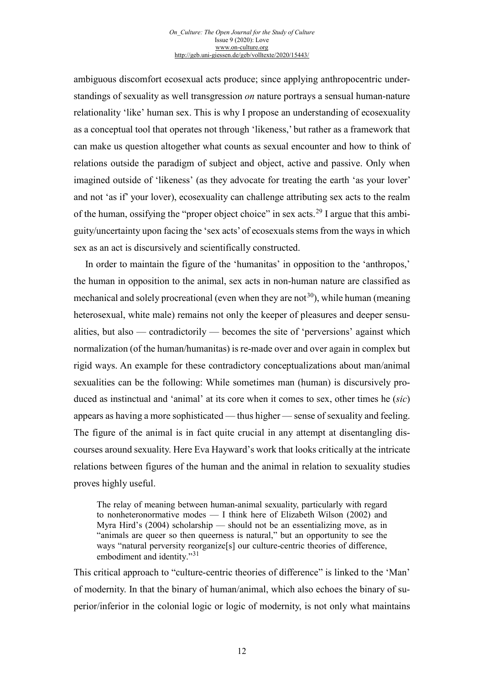#### *On\_Culture: The Open Journal for the Study of Culture* Issue 9 (2020): Love [www.on-culture.org](http://www.on-culture.org/) <http://geb.uni-giessen.de/geb/volltexte/2020/15443/>

ambiguous discomfort ecosexual acts produce; since applying anthropocentric understandings of sexuality as well transgression *on* nature portrays a sensual human-nature relationality 'like' human sex. This is why I propose an understanding of ecosexuality as a conceptual tool that operates not through 'likeness,' but rather as a framework that can make us question altogether what counts as sexual encounter and how to think of relations outside the paradigm of subject and object, active and passive. Only when imagined outside of 'likeness' (as they advocate for treating the earth 'as your lover' and not 'as if' your lover), ecosexuality can challenge attributing sex acts to the realm of the human, ossifying the "proper object choice" in sex acts.<sup>[29](#page-19-23)</sup> I argue that this ambiguity/uncertainty upon facing the 'sex acts' of ecosexuals stems from the ways in which sex as an act is discursively and scientifically constructed.

In order to maintain the figure of the 'humanitas' in opposition to the 'anthropos,' the human in opposition to the animal, sex acts in non-human nature are classified as mechanical and solely procreational (even when they are not<sup>30</sup>), while human (meaning heterosexual, white male) remains not only the keeper of pleasures and deeper sensualities, but also — contradictorily — becomes the site of 'perversions' against which normalization (of the human/humanitas) is re-made over and over again in complex but rigid ways. An example for these contradictory conceptualizations about man/animal sexualities can be the following: While sometimes man (human) is discursively produced as instinctual and 'animal' at its core when it comes to sex, other times he (*sic*) appears as having a more sophisticated — thus higher — sense of sexuality and feeling. The figure of the animal is in fact quite crucial in any attempt at disentangling discourses around sexuality. Here Eva Hayward's work that looks critically at the intricate relations between figures of the human and the animal in relation to sexuality studies proves highly useful.

The relay of meaning between human-animal sexuality, particularly with regard to nonheteronormative modes — I think here of Elizabeth Wilson (2002) and Myra Hird's (2004) scholarship — should not be an essentializing move, as in "animals are queer so then queerness is natural," but an opportunity to see the ways "natural perversity reorganize[s] our culture-centric theories of difference, embodiment and identity."<sup>[31](#page-19-25)</sup>

This critical approach to "culture-centric theories of difference" is linked to the 'Man' of modernity. In that the binary of human/animal, which also echoes the binary of superior/inferior in the colonial logic or logic of modernity, is not only what maintains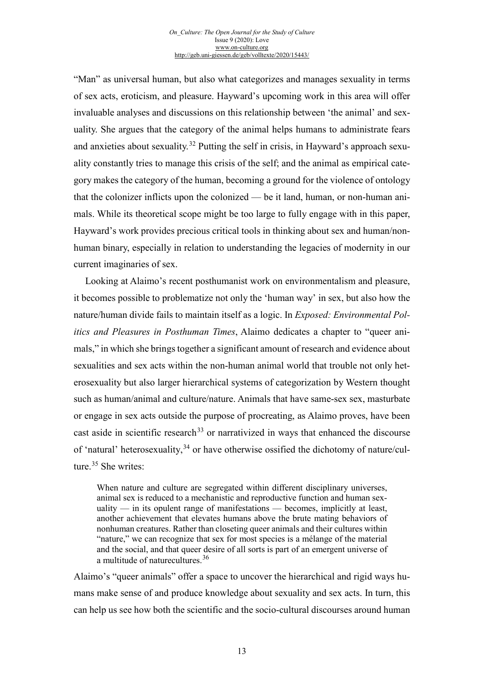"Man" as universal human, but also what categorizes and manages sexuality in terms of sex acts, eroticism, and pleasure. Hayward's upcoming work in this area will offer invaluable analyses and discussions on this relationship between 'the animal' and sexuality. She argues that the category of the animal helps humans to administrate fears and anxieties about sexuality.<sup>[32](#page-19-26)</sup> Putting the self in crisis, in Hayward's approach sexuality constantly tries to manage this crisis of the self; and the animal as empirical category makes the category of the human, becoming a ground for the violence of ontology that the colonizer inflicts upon the colonized — be it land, human, or non-human animals. While its theoretical scope might be too large to fully engage with in this paper, Hayward's work provides precious critical tools in thinking about sex and human/nonhuman binary, especially in relation to understanding the legacies of modernity in our current imaginaries of sex.

Looking at Alaimo's recent posthumanist work on environmentalism and pleasure, it becomes possible to problematize not only the 'human way' in sex, but also how the nature/human divide fails to maintain itself as a logic. In *Exposed: Environmental Politics and Pleasures in Posthuman Times*, Alaimo dedicates a chapter to "queer animals," in which she brings together a significant amount of research and evidence about sexualities and sex acts within the non-human animal world that trouble not only heterosexuality but also larger hierarchical systems of categorization by Western thought such as human/animal and culture/nature. Animals that have same-sex sex, masturbate or engage in sex acts outside the purpose of procreating, as Alaimo proves, have been cast aside in scientific research<sup>[33](#page-19-27)</sup> or narrativized in ways that enhanced the discourse of 'natural' heterosexuality,<sup>[34](#page-19-28)</sup> or have otherwise ossified the dichotomy of nature/cul-ture.<sup>[35](#page-19-29)</sup> She writes:

When nature and culture are segregated within different disciplinary universes, animal sex is reduced to a mechanistic and reproductive function and human sexuality — in its opulent range of manifestations — becomes, implicitly at least, another achievement that elevates humans above the brute mating behaviors of nonhuman creatures. Rather than closeting queer animals and their cultures within "nature," we can recognize that sex for most species is a mélange of the material and the social, and that queer desire of all sorts is part of an emergent universe of a multitude of naturecultures.<sup>[36](#page-19-2)</sup>

Alaimo's "queer animals" offer a space to uncover the hierarchical and rigid ways humans make sense of and produce knowledge about sexuality and sex acts. In turn, this can help us see how both the scientific and the socio-cultural discourses around human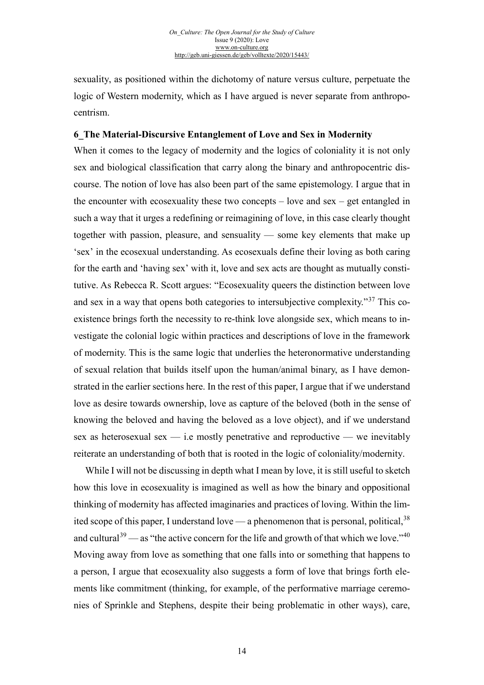sexuality, as positioned within the dichotomy of nature versus culture, perpetuate the logic of Western modernity, which as I have argued is never separate from anthropocentrism.

### **6\_The Material-Discursive Entanglement of Love and Sex in Modernity**

When it comes to the legacy of modernity and the logics of coloniality it is not only sex and biological classification that carry along the binary and anthropocentric discourse. The notion of love has also been part of the same epistemology. I argue that in the encounter with ecosexuality these two concepts  $-$  love and sex  $-$  get entangled in such a way that it urges a redefining or reimagining of love, in this case clearly thought together with passion, pleasure, and sensuality — some key elements that make up 'sex' in the ecosexual understanding. As ecosexuals define their loving as both caring for the earth and 'having sex' with it, love and sex acts are thought as mutually constitutive. As Rebecca R. Scott argues: "Ecosexuality queers the distinction between love and sex in a way that opens both categories to intersubjective complexity."[37](#page-19-30) This coexistence brings forth the necessity to re-think love alongside sex, which means to investigate the colonial logic within practices and descriptions of love in the framework of modernity. This is the same logic that underlies the heteronormative understanding of sexual relation that builds itself upon the human/animal binary, as I have demonstrated in the earlier sections here. In the rest of this paper, I argue that if we understand love as desire towards ownership, love as capture of the beloved (both in the sense of knowing the beloved and having the beloved as a love object), and if we understand sex as heterosexual sex  $-$  i.e mostly penetrative and reproductive  $-$  we inevitably reiterate an understanding of both that is rooted in the logic of coloniality/modernity.

While I will not be discussing in depth what I mean by love, it is still useful to sketch how this love in ecosexuality is imagined as well as how the binary and oppositional thinking of modernity has affected imaginaries and practices of loving. Within the limited scope of this paper, I understand love — a phenomenon that is personal, political,  $38$ and cultural<sup>[39](#page-19-32)</sup> — as "the active concern for the life and growth of that which we love."<sup>[40](#page-19-33)</sup> Moving away from love as something that one falls into or something that happens to a person, I argue that ecosexuality also suggests a form of love that brings forth elements like commitment (thinking, for example, of the performative marriage ceremonies of Sprinkle and Stephens, despite their being problematic in other ways), care,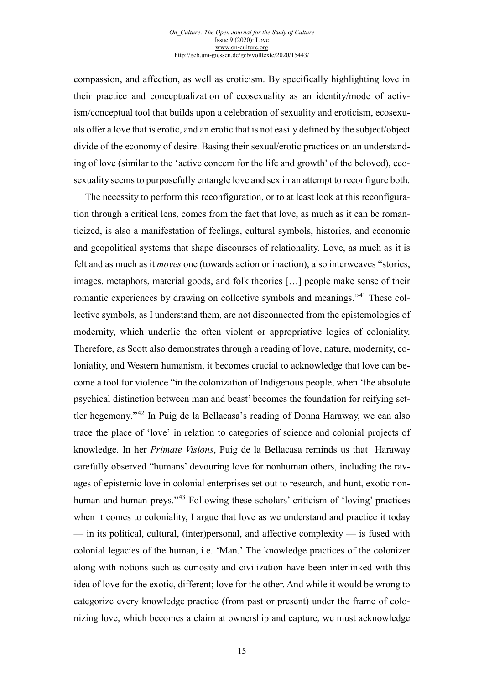compassion, and affection, as well as eroticism. By specifically highlighting love in their practice and conceptualization of ecosexuality as an identity/mode of activism/conceptual tool that builds upon a celebration of sexuality and eroticism, ecosexuals offer a love that is erotic, and an erotic that is not easily defined by the subject/object divide of the economy of desire. Basing their sexual/erotic practices on an understanding of love (similar to the 'active concern for the life and growth' of the beloved), ecosexuality seems to purposefully entangle love and sex in an attempt to reconfigure both.

The necessity to perform this reconfiguration, or to at least look at this reconfiguration through a critical lens, comes from the fact that love, as much as it can be romanticized, is also a manifestation of feelings, cultural symbols, histories, and economic and geopolitical systems that shape discourses of relationality. Love, as much as it is felt and as much as it *moves* one (towards action or inaction), also interweaves "stories, images, metaphors, material goods, and folk theories […] people make sense of their romantic experiences by drawing on collective symbols and meanings."[41](#page-19-34) These collective symbols, as I understand them, are not disconnected from the epistemologies of modernity, which underlie the often violent or appropriative logics of coloniality. Therefore, as Scott also demonstrates through a reading of love, nature, modernity, coloniality, and Western humanism, it becomes crucial to acknowledge that love can become a tool for violence "in the colonization of Indigenous people, when 'the absolute psychical distinction between man and beast' becomes the foundation for reifying settler hegemony."[42](#page-19-35) In Puig de la Bellacasa's reading of Donna Haraway, we can also trace the place of 'love' in relation to categories of science and colonial projects of knowledge. In her *Primate Visions*, Puig de la Bellacasa reminds us that Haraway carefully observed "humans' devouring love for nonhuman others, including the ravages of epistemic love in colonial enterprises set out to research, and hunt, exotic non-human and human preys."<sup>[43](#page-19-36)</sup> Following these scholars' criticism of 'loving' practices when it comes to coloniality, I argue that love as we understand and practice it today — in its political, cultural, (inter)personal, and affective complexity — is fused with colonial legacies of the human, i.e. 'Man.' The knowledge practices of the colonizer along with notions such as curiosity and civilization have been interlinked with this idea of love for the exotic, different; love for the other. And while it would be wrong to categorize every knowledge practice (from past or present) under the frame of colonizing love, which becomes a claim at ownership and capture, we must acknowledge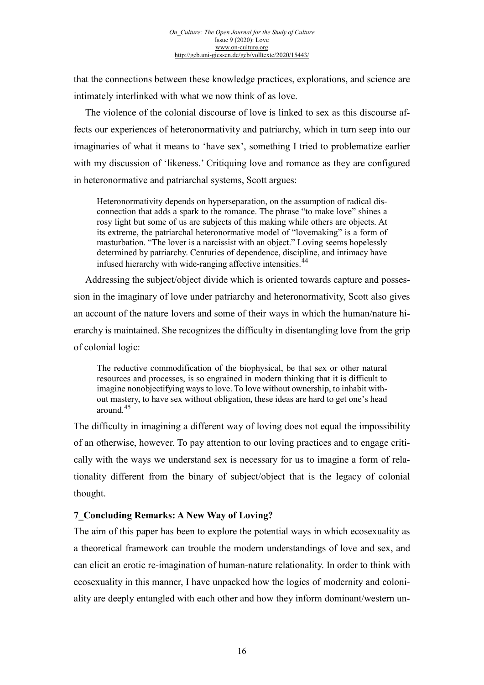that the connections between these knowledge practices, explorations, and science are intimately interlinked with what we now think of as love.

The violence of the colonial discourse of love is linked to sex as this discourse affects our experiences of heteronormativity and patriarchy, which in turn seep into our imaginaries of what it means to 'have sex', something I tried to problematize earlier with my discussion of 'likeness.' Critiquing love and romance as they are configured in heteronormative and patriarchal systems, Scott argues:

Heteronormativity depends on hyperseparation, on the assumption of radical disconnection that adds a spark to the romance. The phrase "to make love" shines a rosy light but some of us are subjects of this making while others are objects. At its extreme, the patriarchal heteronormative model of "lovemaking" is a form of masturbation. "The lover is a narcissist with an object." Loving seems hopelessly determined by patriarchy. Centuries of dependence, discipline, and intimacy have infused hierarchy with wide-ranging affective intensities.<sup>[44](#page-19-37)</sup>

Addressing the subject/object divide which is oriented towards capture and possession in the imaginary of love under patriarchy and heteronormativity, Scott also gives an account of the nature lovers and some of their ways in which the human/nature hierarchy is maintained. She recognizes the difficulty in disentangling love from the grip of colonial logic:

The reductive commodification of the biophysical, be that sex or other natural resources and processes, is so engrained in modern thinking that it is difficult to imagine nonobjectifying ways to love. To love without ownership, to inhabit without mastery, to have sex without obligation, these ideas are hard to get one's head around. [45](#page-19-38)

The difficulty in imagining a different way of loving does not equal the impossibility of an otherwise, however. To pay attention to our loving practices and to engage critically with the ways we understand sex is necessary for us to imagine a form of relationality different from the binary of subject/object that is the legacy of colonial thought.

### **7\_Concluding Remarks: A New Way of Loving?**

The aim of this paper has been to explore the potential ways in which ecosexuality as a theoretical framework can trouble the modern understandings of love and sex, and can elicit an erotic re-imagination of human-nature relationality. In order to think with ecosexuality in this manner, I have unpacked how the logics of modernity and coloniality are deeply entangled with each other and how they inform dominant/western un-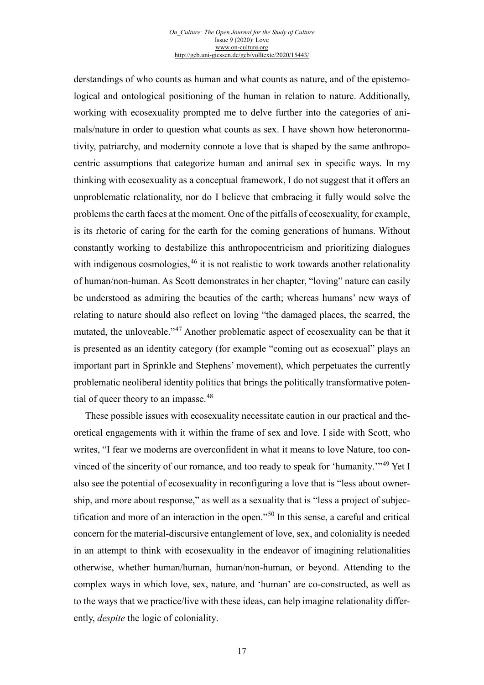#### *On\_Culture: The Open Journal for the Study of Culture*  $I$  Issue 9 (2020): Love [www.on-culture.org](http://www.on-culture.org/) <http://geb.uni-giessen.de/geb/volltexte/2020/15443/>

derstandings of who counts as human and what counts as nature, and of the epistemological and ontological positioning of the human in relation to nature. Additionally, working with ecosexuality prompted me to delve further into the categories of animals/nature in order to question what counts as sex. I have shown how heteronormativity, patriarchy, and modernity connote a love that is shaped by the same anthropocentric assumptions that categorize human and animal sex in specific ways. In my thinking with ecosexuality as a conceptual framework, I do not suggest that it offers an unproblematic relationality, nor do I believe that embracing it fully would solve the problems the earth faces at the moment. One of the pitfalls of ecosexuality, for example, is its rhetoric of caring for the earth for the coming generations of humans. Without constantly working to destabilize this anthropocentricism and prioritizing dialogues with indigenous cosmologies, <sup>[46](#page-19-39)</sup> it is not realistic to work towards another relationality of human/non-human. As Scott demonstrates in her chapter, "loving" nature can easily be understood as admiring the beauties of the earth; whereas humans' new ways of relating to nature should also reflect on loving "the damaged places, the scarred, the mutated, the unloveable."[47](#page-19-40) Another problematic aspect of ecosexuality can be that it is presented as an identity category (for example "coming out as ecosexual" plays an important part in Sprinkle and Stephens' movement), which perpetuates the currently problematic neoliberal identity politics that brings the politically transformative potential of queer theory to an impasse.  $48$ 

These possible issues with ecosexuality necessitate caution in our practical and theoretical engagements with it within the frame of sex and love. I side with Scott, who writes, "I fear we moderns are overconfident in what it means to love Nature, too con-vinced of the sincerity of our romance, and too ready to speak for 'humanity.'"<sup>[49](#page-19-42)</sup> Yet I also see the potential of ecosexuality in reconfiguring a love that is "less about ownership, and more about response," as well as a sexuality that is "less a project of subjectification and more of an interaction in the open."[50](#page-19-43) In this sense, a careful and critical concern for the material-discursive entanglement of love, sex, and coloniality is needed in an attempt to think with ecosexuality in the endeavor of imagining relationalities otherwise, whether human/human, human/non-human, or beyond. Attending to the complex ways in which love, sex, nature, and 'human' are co-constructed, as well as to the ways that we practice/live with these ideas, can help imagine relationality differently, *despite* the logic of coloniality.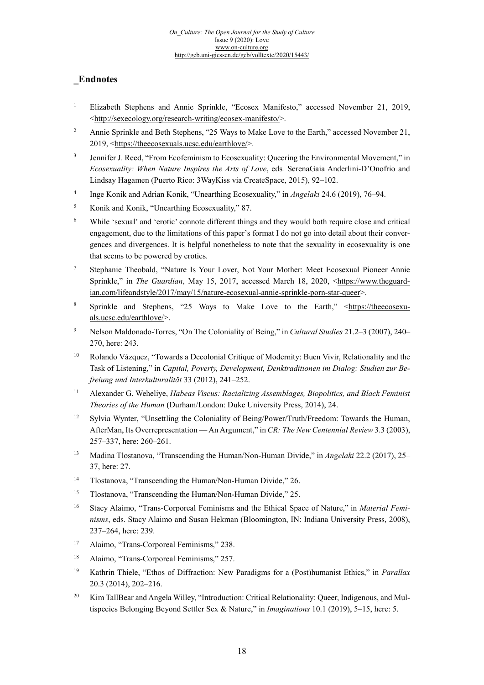### **\_Endnotes**

- <sup>1</sup> Elizabeth Stephens and Annie Sprinkle, "Ecosex Manifesto," accessed November 21, 2019, [<http://sexecology.org/research-writing/ecosex-manifesto/>](http://sexecology.org/research-writing/ecosex-manifesto/).
- <sup>2</sup> Annie Sprinkle and Beth Stephens, "25 Ways to Make Love to the Earth," accessed November 21, 2019, [<https://theecosexuals.ucsc.edu/earthlove/>](https://theecosexuals.ucsc.edu/earthlove/).
- <sup>3</sup> Jennifer J. Reed, "From Ecofeminism to Ecosexuality: Queering the Environmental Movement," in *Ecosexuality: When Nature Inspires the Arts of Love*, eds*.* SerenaGaia Anderlini-D'Onofrio and Lindsay Hagamen (Puerto Rico: 3WayKiss via CreateSpace, 2015), 92–102.
- <sup>4</sup> Inge Konik and Adrian Konik, "Unearthing Ecosexuality," in *Angelaki* 24.6 (2019), 76–94.
- <sup>5</sup> Konik and Konik, "Unearthing Ecosexuality," 87.
- <sup>6</sup> While 'sexual' and 'erotic' connote different things and they would both require close and critical engagement, due to the limitations of this paper's format I do not go into detail about their convergences and divergences. It is helpful nonetheless to note that the sexuality in ecosexuality is one that seems to be powered by erotics.
- <sup>7</sup> Stephanie Theobald, "Nature Is Your Lover, Not Your Mother: Meet Ecosexual Pioneer Annie Sprinkle," in *The Guardian*, May 15, 2017, accessed March 18, 2020, [<https://www.theguard](https://www.theguardian.com/lifeandstyle/2017/may/15/nature-ecosexual-annie-sprinkle-porn-star-queer)[ian.com/lifeandstyle/2017/may/15/nature-ecosexual-annie-sprinkle-porn-star-queer>](https://www.theguardian.com/lifeandstyle/2017/may/15/nature-ecosexual-annie-sprinkle-porn-star-queer).
- 8 Sprinkle and Stephens, "25 Ways to Make Love to the Earth," [<https://theecosexu](https://theecosexuals.ucsc.edu/earthlove/)[als.ucsc.edu/earthlove/>](https://theecosexuals.ucsc.edu/earthlove/).
- <sup>9</sup> Nelson Maldonado-Torres, "On The Coloniality of Being," in *Cultural Studies* 21.2–3 (2007), 240– 270, here: 243.
- <sup>10</sup> Rolando Vázquez, "Towards a Decolonial Critique of Modernity: Buen Vivir, Relationality and the Task of Listening," in *Capital, Poverty, Development, Denktraditionen im Dialog: Studien zur Befreiung und Interkulturalität* 33 (2012), 241–252.
- <sup>11</sup> Alexander G. Weheliye, *Habeas Viscus: Racializing Assemblages, Biopolitics, and Black Feminist Theories of the Human* (Durham/London: Duke University Press, 2014), 24.
- <sup>12</sup> Sylvia Wynter, "Unsettling the Coloniality of Being/Power/Truth/Freedom: Towards the Human, AfterMan, Its Overrepresentation —An Argument," in *CR: The New Centennial Review* 3.3 (2003), 257–337, here: 260–261.
- <sup>13</sup> Madina Tlostanova, "Transcending the Human/Non-Human Divide," in *Angelaki* 22.2 (2017), 25– 37, here: 27.
- <sup>14</sup> Tlostanova, "Transcending the Human/Non-Human Divide," 26.
- <sup>15</sup> Tlostanova, "Transcending the Human/Non-Human Divide," 25.
- <sup>16</sup> Stacy Alaimo, "Trans-Corporeal Feminisms and the Ethical Space of Nature," in *Material Feminisms*, eds. Stacy Alaimo and Susan Hekman (Bloomington, IN: Indiana University Press, 2008), 237–264, here: 239.
- <sup>17</sup> Alaimo, "Trans-Corporeal Feminisms," 238.
- <sup>18</sup> Alaimo, "Trans-Corporeal Feminisms," 257.
- <sup>19</sup> Kathrin Thiele, "Ethos of Diffraction: New Paradigms for a (Post)humanist Ethics," in *Parallax* 20.3 (2014), 202–216.
- <sup>20</sup> Kim TallBear and Angela Willey, "Introduction: Critical Relationality: Queer, Indigenous, and Multispecies Belonging Beyond Settler Sex & Nature," in *Imaginations* 10.1 (2019), 5–15, here: 5.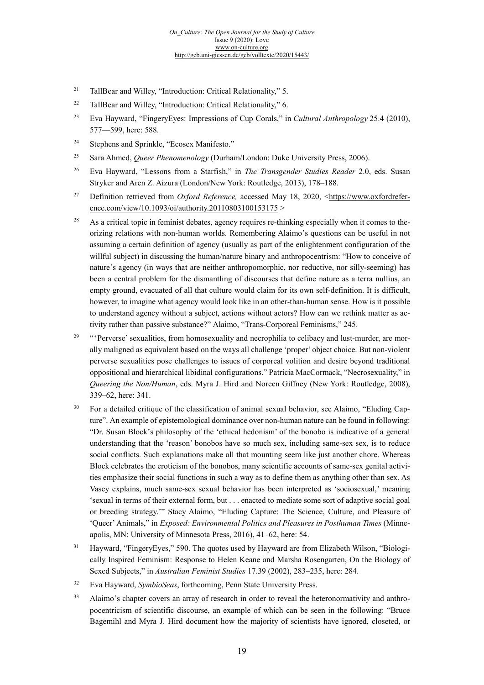- <sup>21</sup> TallBear and Willey, "Introduction: Critical Relationality," 5.
- <span id="page-18-0"></span><sup>22</sup> TallBear and Willey, "Introduction: Critical Relationality," 6.
- <sup>23</sup> Eva Hayward, "FingeryEyes: Impressions of Cup Corals," in *Cultural Anthropology* 25.4 (2010), 577––599, here: 588.
- <span id="page-18-1"></span><sup>24</sup> Stephens and Sprinkle, "Ecosex Manifesto."
- <span id="page-18-2"></span><sup>25</sup> Sara Ahmed, *Queer Phenomenology* (Durham/London: Duke University Press, 2006).
- <sup>26</sup> Eva Hayward, "Lessons from a Starfish," in *The Transgender Studies Reader* 2.0, eds. Susan Stryker and Aren Z. Aizura (London/New York: Routledge, 2013), 178–188.
- <span id="page-18-3"></span><sup>27</sup> Definition retrieved from *Oxford Reference*, accessed May 18, 2020, [<https://www.oxfordrefer](https://www.oxfordreference.com/view/10.1093/oi/authority.20110803100153175)[ence.com/view/10.1093/oi/authority.20110803100153175](https://www.oxfordreference.com/view/10.1093/oi/authority.20110803100153175) >
- <sup>28</sup> As a critical topic in feminist debates, agency requires re-thinking especially when it comes to theorizing relations with non-human worlds. Remembering Alaimo's questions can be useful in not assuming a certain definition of agency (usually as part of the enlightenment configuration of the willful subject) in discussing the human/nature binary and anthropocentrism: "How to conceive of nature's agency (in ways that are neither anthropomorphic, nor reductive, nor silly-seeming) has been a central problem for the dismantling of discourses that define nature as a terra nullius, an empty ground, evacuated of all that culture would claim for its own self-definition. It is difficult, however, to imagine what agency would look like in an other-than-human sense. How is it possible to understand agency without a subject, actions without actors? How can we rethink matter as activity rather than passive substance?" Alaimo, "Trans-Corporeal Feminisms," 245.
- <sup>29</sup> "Perverse' sexualities, from homosexuality and necrophilia to celibacy and lust-murder, are morally maligned as equivalent based on the ways all challenge 'proper' object choice. But non-violent perverse sexualities pose challenges to issues of corporeal volition and desire beyond traditional oppositional and hierarchical libidinal configurations." Patricia MacCormack, "Necrosexuality," in *Queering the Non/Human*, eds. Myra J. Hird and Noreen Giffney (New York: Routledge, 2008), 339–62, here: 341.
- <sup>30</sup> For a detailed critique of the classification of animal sexual behavior, see Alaimo, "Eluding Capture". An example of epistemological dominance over non-human nature can be found in following: "Dr. Susan Block's philosophy of the 'ethical hedonism' of the bonobo is indicative of a general understanding that the 'reason' bonobos have so much sex, including same-sex sex, is to reduce social conflicts. Such explanations make all that mounting seem like just another chore. Whereas Block celebrates the eroticism of the bonobos, many scientific accounts of same-sex genital activities emphasize their social functions in such a way as to define them as anything other than sex. As Vasey explains, much same-sex sexual behavior has been interpreted as 'sociosexual,' meaning 'sexual in terms of their external form, but . . . enacted to mediate some sort of adaptive social goal or breeding strategy.'" Stacy Alaimo, "Eluding Capture: The Science, Culture, and Pleasure of 'Queer' Animals," in *Exposed: Environmental Politics and Pleasures in Posthuman Times* (Minneapolis, MN: University of Minnesota Press, 2016), 41–62, here: 54.
- <sup>31</sup> Hayward, "FingeryEyes," 590. The quotes used by Hayward are from Elizabeth Wilson, "Biologically Inspired Feminism: Response to Helen Keane and Marsha Rosengarten, On the Biology of Sexed Subjects," in *Australian Feminist Studies* 17.39 (2002), 283–235, here: 284.
- <sup>32</sup> Eva Hayward, *SymbioSeas*, forthcoming, Penn State University Press.
- <sup>33</sup> Alaimo's chapter covers an array of research in order to reveal the heteronormativity and anthropocentricism of scientific discourse, an example of which can be seen in the following: "Bruce Bagemihl and Myra J. Hird document how the majority of scientists have ignored, closeted, or